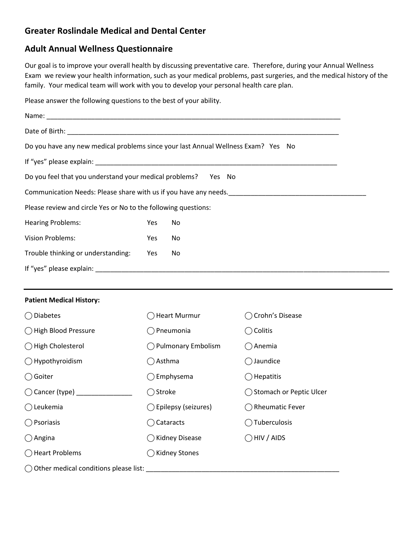## **Greater Roslindale Medical and Dental Center**

## **Adult Annual Wellness Questionnaire**

Our goal is to improve your overall health by discussing preventative care. Therefore, during your Annual Wellness Exam we review your health information, such as your medical problems, past surgeries, and the medical history of the family. Your medical team will work with you to develop your personal health care plan.

| Please answer the following questions to the best of your ability.                                             |     |    |  |  |  |  |  |
|----------------------------------------------------------------------------------------------------------------|-----|----|--|--|--|--|--|
|                                                                                                                |     |    |  |  |  |  |  |
|                                                                                                                |     |    |  |  |  |  |  |
| Do you have any new medical problems since your last Annual Wellness Exam? Yes No                              |     |    |  |  |  |  |  |
|                                                                                                                |     |    |  |  |  |  |  |
| Do you feel that you understand your medical problems? Yes No                                                  |     |    |  |  |  |  |  |
| Communication Needs: Please share with us if you have any needs. The manuscription of the manuscription of the |     |    |  |  |  |  |  |
| Please review and circle Yes or No to the following questions:                                                 |     |    |  |  |  |  |  |
| <b>Hearing Problems:</b>                                                                                       | Yes | No |  |  |  |  |  |
| <b>Vision Problems:</b>                                                                                        | Yes | No |  |  |  |  |  |
| Trouble thinking or understanding:                                                                             | Yes | No |  |  |  |  |  |
|                                                                                                                |     |    |  |  |  |  |  |

## **Patient Medical History:**

| <b>Diabetes</b>                       | <b>Heart Murmur</b>            | Crohn's Disease         |  |  |  |  |
|---------------------------------------|--------------------------------|-------------------------|--|--|--|--|
| <b>High Blood Pressure</b>            | Pneumonia                      | Colitis                 |  |  |  |  |
| <b>High Cholesterol</b><br>$($ )      | Pulmonary Embolism<br>$($ )    | Anemia                  |  |  |  |  |
| Hypothyroidism                        | Asthma                         | Jaundice                |  |  |  |  |
| Goiter<br>$($ )                       | Emphysema<br>$($ )             | Hepatitis               |  |  |  |  |
| Cancer (type)<br>$($ )                | Stroke                         | Stomach or Peptic Ulcer |  |  |  |  |
| $\bigcirc$ Leukemia                   | $\bigcirc$ Epilepsy (seizures) | <b>Rheumatic Fever</b>  |  |  |  |  |
| Psoriasis                             | Cataracts                      | Tuberculosis            |  |  |  |  |
| Angina<br>$\rightarrow$               | Kidney Disease                 | HIV / AIDS              |  |  |  |  |
| <b>Heart Problems</b><br>$($ )        | <b>Kidney Stones</b>           |                         |  |  |  |  |
| Other medical conditions please list: |                                |                         |  |  |  |  |